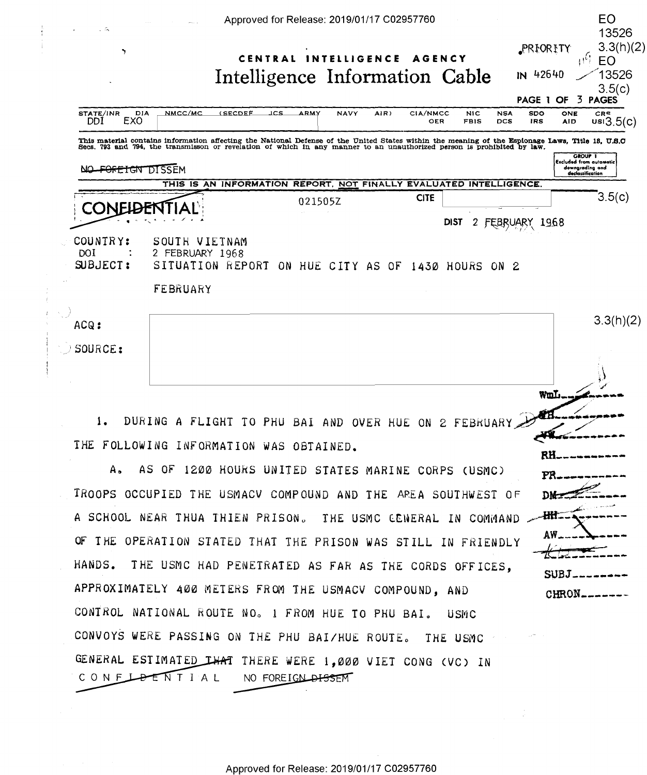

OF THE OPERATION STATED THAT THE PRISON WAS STILL IN FRIENDLY HANDS. THE USMC HAD PENETRATED AS FAR AS THE CORDS OFFICES, APPROXIMATELY 400 METERS FROM THE USMACV COMPOUND, AND CONTROL NATIONAL ROUTE NO. 1 FROM HUE TO PHU BAI. USMC CONVOYS WERE PASSING ON THE PHU BAI/HUE ROUTE. THE USMC GENERAL ESTIMATED THAT THERE WERE 1,000 VIET CONG (VC) IN CONFLATTIAL NO FOREIGN DISSEM

 $SUBJ$ <sub>---</sub>

CHRON\_\_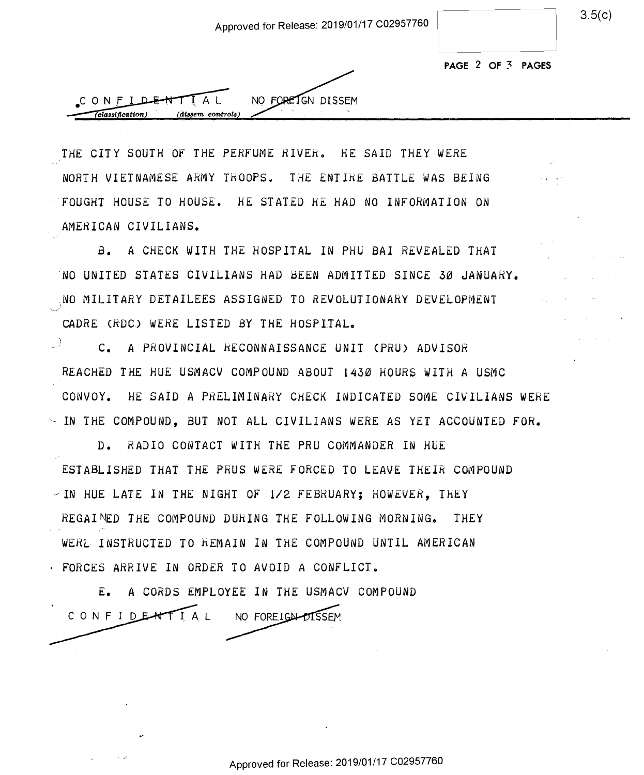| 3.5(c) |
|--------|
|--------|

| PAGE 2 OF 3 PAGES |  |  |  |
|-------------------|--|--|--|
|-------------------|--|--|--|



THE CITY SOUTH OF THE PERFUME RIVER. HE SAID THEY WERE NORTH VIETNAMESE ARMY TkOOPSe THE ENTIKE BATTLE WAS BEING NORTH VIETNAMESE ARMY TROOPS. THE ENTIRE BATTLE NAS BEING  $\cdot$  FOUGHT HOUSE TO HOUSE. HE STATED HE HAD NO INFORMATION ON AMERICAN CIVILIANS. \_ AMERICAN CIVILIANS.

a. A CHECK WITH THE HOSPITAL IN PHU BAI REVEALED THAT B. A CHECK NITH THE HOSPITAL IN PHU BAI REVEALED THAT  $\sim$ NO UNITED STATES CIVILIANS HAD BEEN ADMITTED SINCE 30 JANUARY.  $_{\odot}$ NO MILITARY DETAILEES ASSIGNED TO REVOLUTIONARY DEVELOPMENT  $_{\odot}$ CADRE (RDC) WERE LISTED BY THE HOSPITAL.

 $\mathcal{C}$  **c. A PROVINCIAL RECONNAISSANCE UNIT (PRU) ADVISOR** REACHED THE HUE USMACV COMPOUND ABOUT 1430 HOURS WITH A USMC lREACHED THE RUE USMACV COMPOUND ABOUT 1450 HOURS NITH A USMC CONVOY. HE SAID A PRELIMINARY CHECK INDICATED SOME CIVILIANS WERE ICONVOY. HE SAID A PRELIMINARY CHECK INDICATED SOME CIVILIANS MERE  $\sim$  IN THE COMPOUND, BUT NOT ALL CIVILIANS WERE AS YET ACCOUNTED FOR.

D. RADIO CONTACT WITH THE PRU COMMANDER IN HUE ESTABLISHED THAT THE PRUS WERE FORCED TO LEAVE THEIR COMPOUND  $\geq$  IN HUE LATE IN THE NIGHT OF 1/2 FEBRUARY; HOWEVER, THEY REGAINED THE COMPOUND DURING THE FOLLOWING MORNING. THEY WERL INSTRUCTED TO REMAIN IN THE COMPOUND UNTIL AMERICAN FORCES ARRIVE IN ORDER TO AVOID A CONFLICT.

E. A CORDS EMPLOYEE IN THE USMACV COMPOUND E. A CORDS EMPLOYEE IN THE USMACV COMPOUND CONFIDENTIAL NO FOREIGN-DISSEM

Approved for Release: 2019/01/17 C02957760 Approve<sup>d</sup> for Release: 2019/01/17 <sup>002957760</sup>